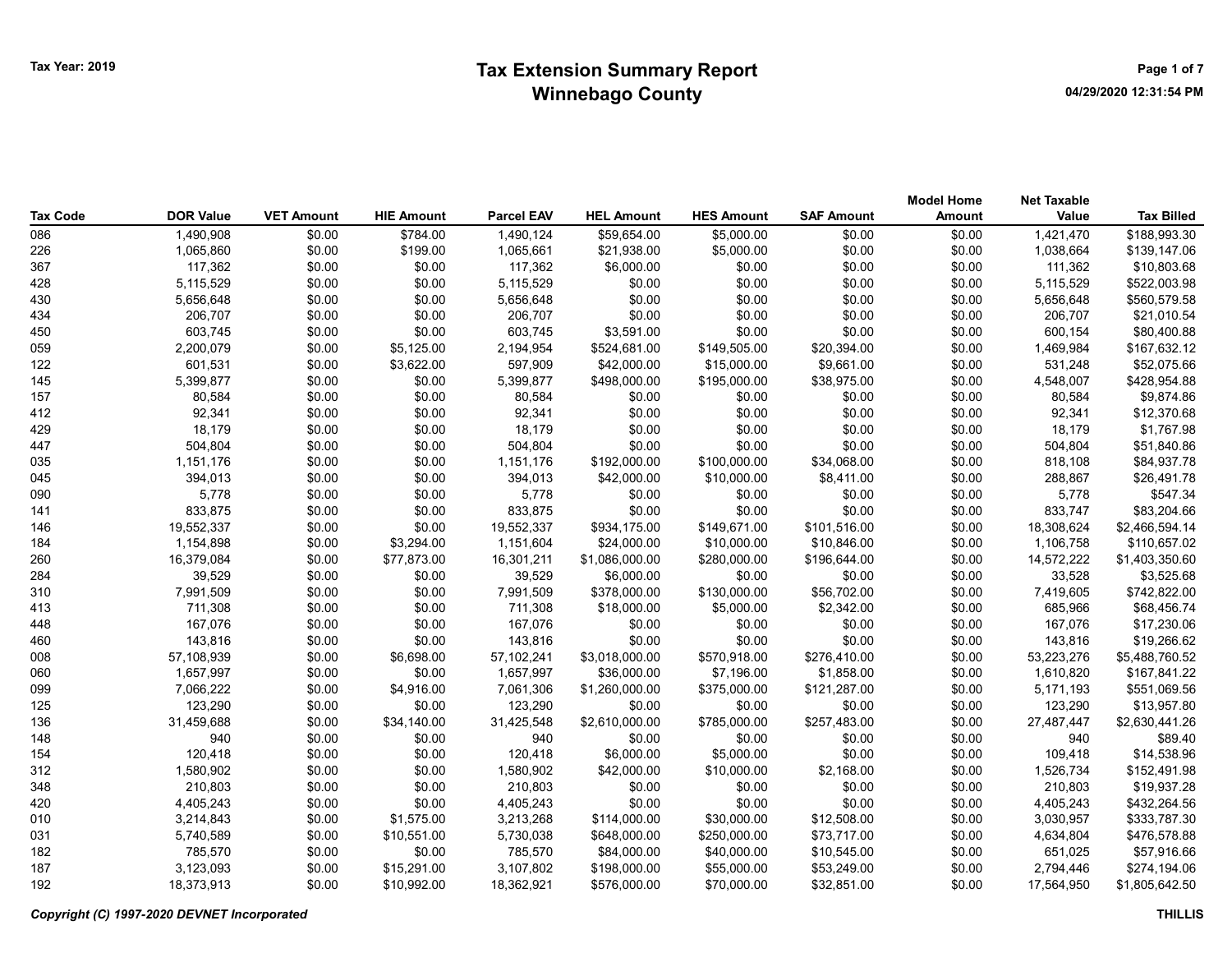| <b>Tax Code</b> | <b>DOR Value</b>     | <b>VET Amount</b> | <b>HIE Amount</b>    | <b>Parcel EAV</b>    | <b>HEL Amount</b>           | <b>HES Amount</b>           | <b>SAF Amount</b>         | <b>Model Home</b><br>Amount | <b>Net Taxable</b><br>Value | <b>Tax Billed</b>           |
|-----------------|----------------------|-------------------|----------------------|----------------------|-----------------------------|-----------------------------|---------------------------|-----------------------------|-----------------------------|-----------------------------|
| 086             | 1,490,908            | \$0.00            | \$784.00             | 1,490,124            | \$59,654.00                 | \$5,000.00                  | \$0.00                    | \$0.00                      | 1,421,470                   | \$188,993.30                |
| 226             | 1,065,860            | \$0.00            | \$199.00             | 1,065,661            | \$21,938.00                 | \$5,000.00                  | \$0.00                    | \$0.00                      | 1,038,664                   | \$139,147.06                |
| 367             | 117,362              | \$0.00            | \$0.00               | 117,362              | \$6,000.00                  | \$0.00                      | \$0.00                    | \$0.00                      | 111,362                     | \$10,803.68                 |
| 428             | 5,115,529            | \$0.00            | \$0.00               | 5,115,529            | \$0.00                      | \$0.00                      | \$0.00                    | \$0.00                      | 5,115,529                   | \$522,003.98                |
| 430             | 5,656,648            | \$0.00            | \$0.00               | 5,656,648            | \$0.00                      | \$0.00                      | \$0.00                    | \$0.00                      | 5,656,648                   | \$560,579.58                |
| 434             | 206,707              | \$0.00            | \$0.00               | 206,707              | \$0.00                      | \$0.00                      | \$0.00                    | \$0.00                      | 206,707                     | \$21,010.54                 |
| 450             | 603,745              | \$0.00            | \$0.00               | 603,745              | \$3,591.00                  | \$0.00                      | \$0.00                    | \$0.00                      | 600,154                     | \$80,400.88                 |
| 059             | 2,200,079            | \$0.00            | \$5,125.00           | 2,194,954            | \$524,681.00                | \$149,505.00                | \$20,394.00               | \$0.00                      | 1,469,984                   | \$167,632.12                |
|                 |                      |                   |                      |                      |                             |                             |                           |                             |                             |                             |
| 122<br>145      | 601,531<br>5,399,877 | \$0.00<br>\$0.00  | \$3,622.00<br>\$0.00 | 597,909<br>5,399,877 | \$42,000.00<br>\$498,000.00 | \$15,000.00<br>\$195,000.00 | \$9,661.00<br>\$38,975.00 | \$0.00<br>\$0.00            | 531,248<br>4,548,007        | \$52,075.66<br>\$428,954.88 |
|                 |                      |                   |                      |                      |                             |                             |                           |                             |                             |                             |
| 157<br>412      | 80,584<br>92,341     | \$0.00            | \$0.00               | 80,584               | \$0.00                      | \$0.00                      | \$0.00                    | \$0.00                      | 80,584                      | \$9,874.86<br>\$12,370.68   |
|                 |                      | \$0.00            | \$0.00               | 92,341               | \$0.00                      | \$0.00                      | \$0.00                    | \$0.00                      | 92,341                      |                             |
| 429             | 18,179               | \$0.00            | \$0.00               | 18,179               | \$0.00                      | \$0.00                      | \$0.00                    | \$0.00                      | 18,179                      | \$1,767.98                  |
| 447             | 504,804              | \$0.00            | \$0.00               | 504,804              | \$0.00                      | \$0.00                      | \$0.00                    | \$0.00                      | 504,804                     | \$51,840.86                 |
| 035             | 1,151,176            | \$0.00            | \$0.00               | 1,151,176            | \$192,000.00                | \$100,000.00                | \$34,068.00               | \$0.00                      | 818,108                     | \$84,937.78                 |
| 045             | 394,013              | \$0.00            | \$0.00               | 394,013              | \$42,000.00                 | \$10,000.00                 | \$8,411.00                | \$0.00                      | 288,867                     | \$26,491.78                 |
| 090             | 5,778                | \$0.00            | \$0.00               | 5,778                | \$0.00                      | \$0.00                      | \$0.00                    | \$0.00                      | 5,778                       | \$547.34                    |
| 141             | 833,875              | \$0.00            | \$0.00               | 833,875              | \$0.00                      | \$0.00                      | \$0.00                    | \$0.00                      | 833,747                     | \$83,204.66                 |
| 146             | 19,552,337           | \$0.00            | \$0.00               | 19,552,337           | \$934,175.00                | \$149,671.00                | \$101,516.00              | \$0.00                      | 18,308,624                  | \$2,466,594.14              |
| 184             | 1,154,898            | \$0.00            | \$3,294.00           | 1,151,604            | \$24,000.00                 | \$10,000.00                 | \$10,846.00               | \$0.00                      | 1,106,758                   | \$110,657.02                |
| 260             | 16,379,084           | \$0.00            | \$77,873.00          | 16,301,211           | \$1,086,000.00              | \$280,000.00                | \$196,644.00              | \$0.00                      | 14,572,222                  | \$1,403,350.60              |
| 284             | 39,529               | \$0.00            | \$0.00               | 39,529               | \$6,000.00                  | \$0.00                      | \$0.00                    | \$0.00                      | 33,528                      | \$3,525.68                  |
| 310             | 7,991,509            | \$0.00            | \$0.00               | 7,991,509            | \$378,000.00                | \$130,000.00                | \$56,702.00               | \$0.00                      | 7,419,605                   | \$742,822.00                |
| 413             | 711,308              | \$0.00            | \$0.00               | 711,308              | \$18,000.00                 | \$5,000.00                  | \$2,342.00                | \$0.00                      | 685,966                     | \$68,456.74                 |
| 448             | 167,076              | \$0.00            | \$0.00               | 167,076              | \$0.00                      | \$0.00                      | \$0.00                    | \$0.00                      | 167,076                     | \$17,230.06                 |
| 460             | 143,816              | \$0.00            | \$0.00               | 143,816              | \$0.00                      | \$0.00                      | \$0.00                    | \$0.00                      | 143,816                     | \$19,266.62                 |
| 008             | 57,108,939           | \$0.00            | \$6,698.00           | 57,102,241           | \$3,018,000.00              | \$570,918.00                | \$276,410.00              | \$0.00                      | 53,223,276                  | \$5,488,760.52              |
| 060             | 1,657,997            | \$0.00            | \$0.00               | 1,657,997            | \$36,000.00                 | \$7,196.00                  | \$1,858.00                | \$0.00                      | 1,610,820                   | \$167,841.22                |
| 099             | 7,066,222            | \$0.00            | \$4,916.00           | 7,061,306            | \$1,260,000.00              | \$375,000.00                | \$121,287.00              | \$0.00                      | 5,171,193                   | \$551,069.56                |
| 125             | 123,290              | \$0.00            | \$0.00               | 123,290              | \$0.00                      | \$0.00                      | \$0.00                    | \$0.00                      | 123,290                     | \$13,957.80                 |
| 136             | 31,459,688           | \$0.00            | \$34,140.00          | 31,425,548           | \$2,610,000.00              | \$785,000.00                | \$257,483.00              | \$0.00                      | 27,487,447                  | \$2,630,441.26              |
| 148             | 940                  | \$0.00            | \$0.00               | 940                  | \$0.00                      | \$0.00                      | \$0.00                    | \$0.00                      | 940                         | \$89.40                     |
| 154             | 120,418              | \$0.00            | \$0.00               | 120,418              | \$6,000.00                  | \$5,000.00                  | \$0.00                    | \$0.00                      | 109,418                     | \$14,538.96                 |
| 312             | 1,580,902            | \$0.00            | \$0.00               | 1,580,902            | \$42,000.00                 | \$10,000.00                 | \$2,168.00                | \$0.00                      | 1,526,734                   | \$152,491.98                |
| 348             | 210,803              | \$0.00            | \$0.00               | 210,803              | \$0.00                      | \$0.00                      | \$0.00                    | \$0.00                      | 210,803                     | \$19,937.28                 |
| 420             | 4,405,243            | \$0.00            | \$0.00               | 4,405,243            | \$0.00                      | \$0.00                      | \$0.00                    | \$0.00                      | 4,405,243                   | \$432,264.56                |
| 010             | 3,214,843            | \$0.00            | \$1,575.00           | 3,213,268            | \$114,000.00                | \$30,000.00                 | \$12,508.00               | \$0.00                      | 3,030,957                   | \$333,787.30                |
| 031             | 5,740,589            | \$0.00            | \$10,551.00          | 5,730,038            | \$648,000.00                | \$250,000.00                | \$73,717.00               | \$0.00                      | 4,634,804                   | \$476,578.88                |
| 182             | 785,570              | \$0.00            | \$0.00               | 785,570              | \$84,000.00                 | \$40,000.00                 | \$10,545.00               | \$0.00                      | 651,025                     | \$57,916.66                 |
| 187             | 3,123,093            | \$0.00            | \$15,291.00          | 3,107,802            | \$198,000.00                | \$55,000.00                 | \$53,249.00               | \$0.00                      | 2,794,446                   | \$274,194.06                |
| 192             | 18,373,913           | \$0.00            | \$10,992.00          | 18,362,921           | \$576,000.00                | \$70,000.00                 | \$32,851.00               | \$0.00                      | 17,564,950                  | \$1,805,642.50              |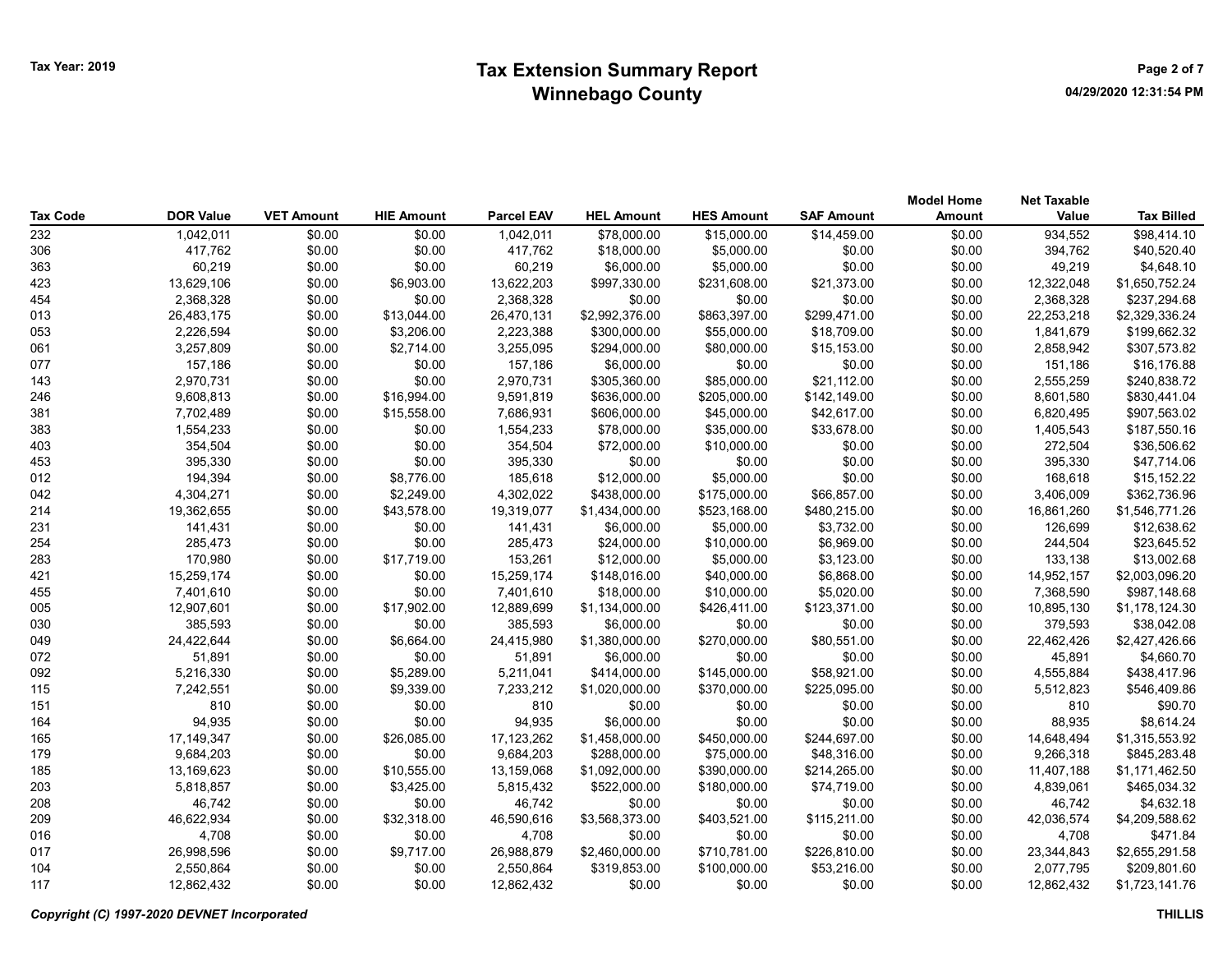|                 |                  |                   |                   |                   |                   |                   |                   | <b>Model Home</b> | <b>Net Taxable</b> |                   |
|-----------------|------------------|-------------------|-------------------|-------------------|-------------------|-------------------|-------------------|-------------------|--------------------|-------------------|
| <b>Tax Code</b> | <b>DOR Value</b> | <b>VET Amount</b> | <b>HIE Amount</b> | <b>Parcel EAV</b> | <b>HEL Amount</b> | <b>HES Amount</b> | <b>SAF Amount</b> | <b>Amount</b>     | Value              | <b>Tax Billed</b> |
| 232             | 1,042,011        | \$0.00            | \$0.00            | 1,042,011         | \$78,000.00       | \$15,000.00       | \$14,459.00       | \$0.00            | 934,552            | \$98,414.10       |
| 306             | 417,762          | \$0.00            | \$0.00            | 417,762           | \$18,000.00       | \$5,000.00        | \$0.00            | \$0.00            | 394,762            | \$40,520.40       |
| 363             | 60,219           | \$0.00            | \$0.00            | 60,219            | \$6,000.00        | \$5,000.00        | \$0.00            | \$0.00            | 49,219             | \$4,648.10        |
| 423             | 13,629,106       | \$0.00            | \$6,903.00        | 13,622,203        | \$997,330.00      | \$231,608.00      | \$21,373.00       | \$0.00            | 12,322,048         | \$1,650,752.24    |
| 454             | 2,368,328        | \$0.00            | \$0.00            | 2,368,328         | \$0.00            | \$0.00            | \$0.00            | \$0.00            | 2,368,328          | \$237,294.68      |
| 013             | 26,483,175       | \$0.00            | \$13,044.00       | 26,470,131        | \$2,992,376.00    | \$863,397.00      | \$299,471.00      | \$0.00            | 22,253,218         | \$2,329,336.24    |
| 053             | 2,226,594        | \$0.00            | \$3,206.00        | 2,223,388         | \$300,000.00      | \$55,000.00       | \$18,709.00       | \$0.00            | 1,841,679          | \$199,662.32      |
| 061             | 3,257,809        | \$0.00            | \$2,714.00        | 3,255,095         | \$294,000.00      | \$80,000.00       | \$15,153.00       | \$0.00            | 2,858,942          | \$307,573.82      |
| 077             | 157,186          | \$0.00            | \$0.00            | 157,186           | \$6,000.00        | \$0.00            | \$0.00            | \$0.00            | 151,186            | \$16,176.88       |
| 143             | 2,970,731        | \$0.00            | \$0.00            | 2,970,731         | \$305,360.00      | \$85,000.00       | \$21,112.00       | \$0.00            | 2,555,259          | \$240,838.72      |
| 246             | 9,608,813        | \$0.00            | \$16,994.00       | 9,591,819         | \$636,000.00      | \$205,000.00      | \$142,149.00      | \$0.00            | 8,601,580          | \$830,441.04      |
| 381             | 7,702,489        | \$0.00            | \$15,558.00       | 7,686,931         | \$606,000.00      | \$45,000.00       | \$42,617.00       | \$0.00            | 6,820,495          | \$907,563.02      |
| 383             | 1,554,233        | \$0.00            | \$0.00            | 1,554,233         | \$78,000.00       | \$35,000.00       | \$33,678.00       | \$0.00            | 1,405,543          | \$187,550.16      |
| 403             | 354,504          | \$0.00            | \$0.00            | 354,504           | \$72,000.00       | \$10,000.00       | \$0.00            | \$0.00            | 272,504            | \$36,506.62       |
| 453             | 395,330          | \$0.00            | \$0.00            | 395,330           | \$0.00            | \$0.00            | \$0.00            | \$0.00            | 395,330            | \$47,714.06       |
| 012             | 194,394          | \$0.00            | \$8,776.00        | 185,618           | \$12,000.00       | \$5,000.00        | \$0.00            | \$0.00            | 168,618            | \$15,152.22       |
| 042             | 4,304,271        | \$0.00            | \$2,249.00        | 4,302,022         | \$438,000.00      | \$175,000.00      | \$66,857.00       | \$0.00            | 3,406,009          | \$362,736.96      |
| 214             | 19,362,655       | \$0.00            | \$43,578.00       | 19,319,077        | \$1,434,000.00    | \$523,168.00      | \$480,215.00      | \$0.00            | 16,861,260         | \$1,546,771.26    |
| 231             | 141,431          | \$0.00            | \$0.00            | 141,431           | \$6,000.00        | \$5,000.00        | \$3,732.00        | \$0.00            | 126,699            | \$12,638.62       |
| 254             | 285,473          | \$0.00            | \$0.00            | 285,473           | \$24,000.00       | \$10,000.00       | \$6,969.00        | \$0.00            | 244,504            | \$23,645.52       |
| 283             | 170,980          | \$0.00            | \$17,719.00       | 153,261           | \$12,000.00       | \$5,000.00        | \$3,123.00        | \$0.00            | 133,138            | \$13,002.68       |
| 421             | 15,259,174       | \$0.00            | \$0.00            | 15,259,174        | \$148,016.00      | \$40,000.00       | \$6,868.00        | \$0.00            | 14,952,157         | \$2,003,096.20    |
| 455             | 7,401,610        | \$0.00            | \$0.00            | 7,401,610         | \$18,000.00       | \$10,000.00       | \$5,020.00        | \$0.00            | 7,368,590          | \$987,148.68      |
| 005             | 12,907,601       | \$0.00            | \$17,902.00       | 12,889,699        | \$1,134,000.00    | \$426,411.00      | \$123,371.00      | \$0.00            | 10,895,130         | \$1,178,124.30    |
| 030             | 385,593          | \$0.00            | \$0.00            | 385,593           | \$6,000.00        | \$0.00            | \$0.00            | \$0.00            | 379,593            | \$38,042.08       |
| 049             | 24,422,644       | \$0.00            | \$6,664.00        | 24,415,980        | \$1,380,000.00    | \$270,000.00      | \$80,551.00       | \$0.00            | 22,462,426         | \$2,427,426.66    |
| 072             | 51,891           | \$0.00            | \$0.00            | 51,891            | \$6,000.00        | \$0.00            | \$0.00            | \$0.00            | 45,891             | \$4,660.70        |
| 092             | 5,216,330        | \$0.00            | \$5,289.00        | 5,211,041         | \$414,000.00      | \$145,000.00      | \$58,921.00       | \$0.00            | 4,555,884          | \$438,417.96      |
| 115             | 7,242,551        | \$0.00            | \$9,339.00        | 7,233,212         | \$1,020,000.00    | \$370,000.00      | \$225,095.00      | \$0.00            | 5,512,823          | \$546,409.86      |
| 151             | 810              | \$0.00            | \$0.00            | 810               | \$0.00            | \$0.00            | \$0.00            | \$0.00            | 810                | \$90.70           |
| 164             | 94,935           | \$0.00            | \$0.00            | 94,935            | \$6,000.00        | \$0.00            | \$0.00            | \$0.00            | 88,935             | \$8,614.24        |
| 165             | 17,149,347       | \$0.00            | \$26,085.00       | 17,123,262        | \$1,458,000.00    | \$450,000.00      | \$244,697.00      | \$0.00            | 14,648,494         | \$1,315,553.92    |
| 179             | 9,684,203        | \$0.00            | \$0.00            | 9,684,203         | \$288,000.00      | \$75,000.00       | \$48,316.00       | \$0.00            | 9,266,318          | \$845,283.48      |
| 185             | 13,169,623       | \$0.00            | \$10,555.00       | 13,159,068        | \$1,092,000.00    | \$390,000.00      | \$214,265.00      | \$0.00            | 11,407,188         | \$1,171,462.50    |
| 203             | 5,818,857        | \$0.00            | \$3,425.00        | 5,815,432         | \$522,000.00      | \$180,000.00      | \$74,719.00       | \$0.00            | 4,839,061          | \$465,034.32      |
| 208             | 46,742           | \$0.00            | \$0.00            | 46,742            | \$0.00            | \$0.00            | \$0.00            | \$0.00            | 46,742             | \$4,632.18        |
| 209             | 46,622,934       | \$0.00            | \$32,318.00       | 46,590,616        | \$3,568,373.00    | \$403,521.00      | \$115,211.00      | \$0.00            | 42,036,574         | \$4,209,588.62    |
| 016             | 4,708            | \$0.00            | \$0.00            | 4,708             | \$0.00            | \$0.00            | \$0.00            | \$0.00            | 4,708              | \$471.84          |
| 017             | 26,998,596       | \$0.00            | \$9,717.00        | 26,988,879        | \$2,460,000.00    | \$710,781.00      | \$226,810.00      | \$0.00            | 23,344,843         | \$2,655,291.58    |
| 104             | 2,550,864        | \$0.00            | \$0.00            | 2,550,864         | \$319,853.00      | \$100,000.00      | \$53,216.00       | \$0.00            | 2,077,795          | \$209,801.60      |
| 117             | 12,862,432       | \$0.00            | \$0.00            | 12,862,432        | \$0.00            | \$0.00            | \$0.00            | \$0.00            | 12.862.432         | \$1,723,141.76    |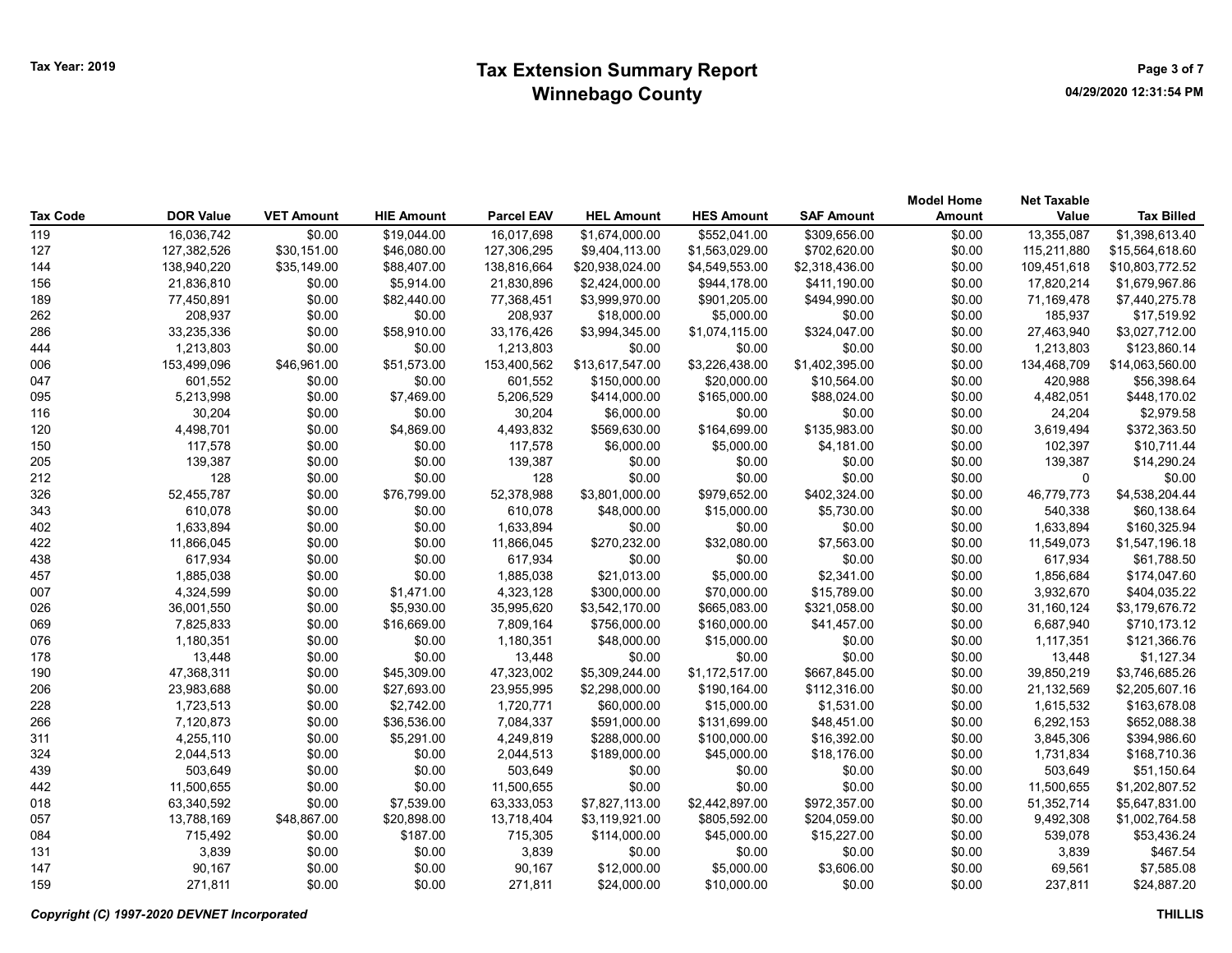# Tax Year: 2019 **Extension Summary Report Case 2018** Page 3 of 7 Winnebago County

| <b>Tax Code</b> | <b>DOR Value</b> | <b>VET Amount</b> | <b>HIE Amount</b> | <b>Parcel EAV</b> | <b>HEL Amount</b> | <b>HES Amount</b> | <b>SAF Amount</b> | <b>Model Home</b><br><b>Amount</b> | <b>Net Taxable</b><br>Value | <b>Tax Billed</b> |
|-----------------|------------------|-------------------|-------------------|-------------------|-------------------|-------------------|-------------------|------------------------------------|-----------------------------|-------------------|
| 119             | 16,036,742       | \$0.00            | \$19,044.00       | 16,017,698        | \$1,674,000.00    | \$552,041.00      | \$309,656.00      | \$0.00                             | 13,355,087                  | \$1,398,613.40    |
| 127             | 127,382,526      | \$30,151.00       | \$46,080.00       | 127,306,295       | \$9,404,113.00    | \$1,563,029.00    | \$702,620.00      | \$0.00                             | 115,211,880                 | \$15,564,618.60   |
| 144             | 138,940,220      | \$35,149.00       | \$88,407.00       | 138,816,664       | \$20,938,024.00   | \$4,549,553.00    | \$2,318,436.00    | \$0.00                             | 109,451,618                 | \$10,803,772.52   |
| 156             | 21,836,810       | \$0.00            | \$5,914.00        | 21,830,896        | \$2,424,000.00    | \$944,178.00      | \$411,190.00      | \$0.00                             | 17,820,214                  | \$1,679,967.86    |
| 189             | 77,450,891       | \$0.00            | \$82,440.00       | 77,368,451        | \$3,999,970.00    | \$901,205.00      | \$494,990.00      | \$0.00                             | 71,169,478                  | \$7,440,275.78    |
| 262             | 208,937          | \$0.00            | \$0.00            | 208,937           | \$18,000.00       | \$5,000.00        | \$0.00            | \$0.00                             | 185,937                     | \$17,519.92       |
| 286             | 33,235,336       | \$0.00            | \$58,910.00       | 33,176,426        | \$3,994,345.00    | \$1,074,115.00    | \$324,047.00      | \$0.00                             | 27,463,940                  | \$3,027,712.00    |
| 444             | 1,213,803        | \$0.00            | \$0.00            | 1,213,803         | \$0.00            | \$0.00            | \$0.00            | \$0.00                             | 1,213,803                   | \$123,860.14      |
| 006             | 153,499,096      | \$46,961.00       | \$51,573.00       | 153,400,562       | \$13,617,547.00   | \$3,226,438.00    | \$1,402,395.00    | \$0.00                             | 134,468,709                 | \$14,063,560.00   |
| 047             | 601,552          | \$0.00            | \$0.00            | 601,552           | \$150,000.00      | \$20,000.00       | \$10,564.00       | \$0.00                             | 420,988                     | \$56,398.64       |
| 095             | 5,213,998        | \$0.00            | \$7,469.00        | 5,206,529         | \$414,000.00      | \$165,000.00      | \$88,024.00       | \$0.00                             | 4,482,051                   | \$448,170.02      |
| 116             | 30,204           | \$0.00            | \$0.00            | 30,204            | \$6,000.00        | \$0.00            | \$0.00            | \$0.00                             | 24,204                      | \$2,979.58        |
| 120             | 4,498,701        | \$0.00            | \$4,869.00        | 4,493,832         | \$569,630.00      | \$164,699.00      | \$135,983.00      | \$0.00                             | 3,619,494                   | \$372,363.50      |
| 150             | 117,578          | \$0.00            | \$0.00            | 117,578           | \$6,000.00        | \$5,000.00        | \$4,181.00        | \$0.00                             | 102,397                     | \$10,711.44       |
| 205             | 139,387          | \$0.00            | \$0.00            | 139,387           | \$0.00            | \$0.00            | \$0.00            | \$0.00                             | 139,387                     | \$14,290.24       |
| 212             | 128              | \$0.00            | \$0.00            | 128               | \$0.00            | \$0.00            | \$0.00            | \$0.00                             | 0                           | \$0.00            |
| 326             | 52,455,787       | \$0.00            | \$76,799.00       | 52,378,988        | \$3,801,000.00    | \$979,652.00      | \$402,324.00      | \$0.00                             | 46,779,773                  | \$4,538,204.44    |
| 343             | 610,078          | \$0.00            | \$0.00            | 610,078           | \$48,000.00       | \$15,000.00       | \$5,730.00        | \$0.00                             | 540,338                     | \$60,138.64       |
| 402             | 1,633,894        | \$0.00            | \$0.00            | 1,633,894         | \$0.00            | \$0.00            | \$0.00            | \$0.00                             | 1,633,894                   | \$160,325.94      |
| 422             | 11,866,045       | \$0.00            | \$0.00            | 11,866,045        | \$270,232.00      | \$32,080.00       | \$7,563.00        | \$0.00                             | 11,549,073                  | \$1,547,196.18    |
| 438             | 617,934          | \$0.00            | \$0.00            | 617,934           | \$0.00            | \$0.00            | \$0.00            | \$0.00                             | 617,934                     | \$61,788.50       |
| 457             | 1,885,038        | \$0.00            | \$0.00            | 1,885,038         | \$21,013.00       | \$5,000.00        | \$2,341.00        | \$0.00                             | 1,856,684                   | \$174,047.60      |
| 007             | 4,324,599        | \$0.00            | \$1,471.00        | 4,323,128         | \$300,000.00      | \$70,000.00       | \$15,789.00       | \$0.00                             | 3,932,670                   | \$404,035.22      |
| 026             | 36,001,550       | \$0.00            | \$5,930.00        | 35,995,620        | \$3,542,170.00    | \$665,083.00      | \$321,058.00      | \$0.00                             | 31,160,124                  | \$3,179,676.72    |
| 069             | 7,825,833        | \$0.00            | \$16,669.00       | 7,809,164         | \$756,000.00      | \$160,000.00      | \$41,457.00       | \$0.00                             | 6,687,940                   | \$710,173.12      |
| 076             | 1,180,351        | \$0.00            | \$0.00            | 1,180,351         | \$48,000.00       | \$15,000.00       | \$0.00            | \$0.00                             | 1,117,351                   | \$121,366.76      |
| 178             | 13,448           | \$0.00            | \$0.00            | 13,448            | \$0.00            | \$0.00            | \$0.00            | \$0.00                             | 13,448                      | \$1,127.34        |
| 190             | 47,368,311       | \$0.00            | \$45,309.00       | 47,323,002        | \$5,309,244.00    | \$1,172,517.00    | \$667,845.00      | \$0.00                             | 39,850,219                  | \$3,746,685.26    |
| 206             | 23,983,688       | \$0.00            | \$27,693.00       | 23,955,995        | \$2,298,000.00    | \$190,164.00      | \$112,316.00      | \$0.00                             | 21,132,569                  | \$2,205,607.16    |
| 228             | 1,723,513        | \$0.00            | \$2,742.00        | 1,720,771         | \$60,000.00       | \$15,000.00       | \$1,531.00        | \$0.00                             | 1,615,532                   | \$163,678.08      |
| 266             | 7,120,873        | \$0.00            | \$36,536.00       | 7,084,337         | \$591,000.00      | \$131,699.00      | \$48,451.00       | \$0.00                             | 6,292,153                   | \$652,088.38      |
| 311             | 4,255,110        | \$0.00            | \$5,291.00        | 4,249,819         | \$288,000.00      | \$100,000.00      | \$16,392.00       | \$0.00                             | 3,845,306                   | \$394,986.60      |
| 324             | 2,044,513        | \$0.00            | \$0.00            | 2,044,513         | \$189,000.00      | \$45,000.00       | \$18,176.00       | \$0.00                             | 1,731,834                   | \$168,710.36      |
| 439             | 503,649          | \$0.00            | \$0.00            | 503,649           | \$0.00            | \$0.00            | \$0.00            | \$0.00                             | 503,649                     | \$51,150.64       |
| 442             | 11,500,655       | \$0.00            | \$0.00            | 11,500,655        | \$0.00            | \$0.00            | \$0.00            | \$0.00                             | 11,500,655                  | \$1,202,807.52    |
| 018             | 63,340,592       | \$0.00            | \$7,539.00        | 63,333,053        | \$7,827,113.00    | \$2,442,897.00    | \$972,357.00      | \$0.00                             | 51,352,714                  | \$5,647,831.00    |
| 057             | 13,788,169       | \$48,867.00       | \$20,898.00       | 13,718,404        | \$3,119,921.00    | \$805,592.00      | \$204,059.00      | \$0.00                             | 9,492,308                   | \$1,002,764.58    |
| 084             | 715,492          | \$0.00            | \$187.00          | 715,305           | \$114,000.00      | \$45,000.00       | \$15,227.00       | \$0.00                             | 539,078                     | \$53,436.24       |
| 131             | 3,839            | \$0.00            | \$0.00            | 3,839             | \$0.00            | \$0.00            | \$0.00            | \$0.00                             | 3,839                       | \$467.54          |
| 147             | 90,167           | \$0.00            | \$0.00            | 90,167            | \$12,000.00       | \$5,000.00        | \$3,606.00        | \$0.00                             | 69,561                      | \$7,585.08        |
| 159             | 271,811          | \$0.00            | \$0.00            | 271.811           | \$24,000.00       | \$10,000.00       | \$0.00            | \$0.00                             | 237,811                     | \$24,887.20       |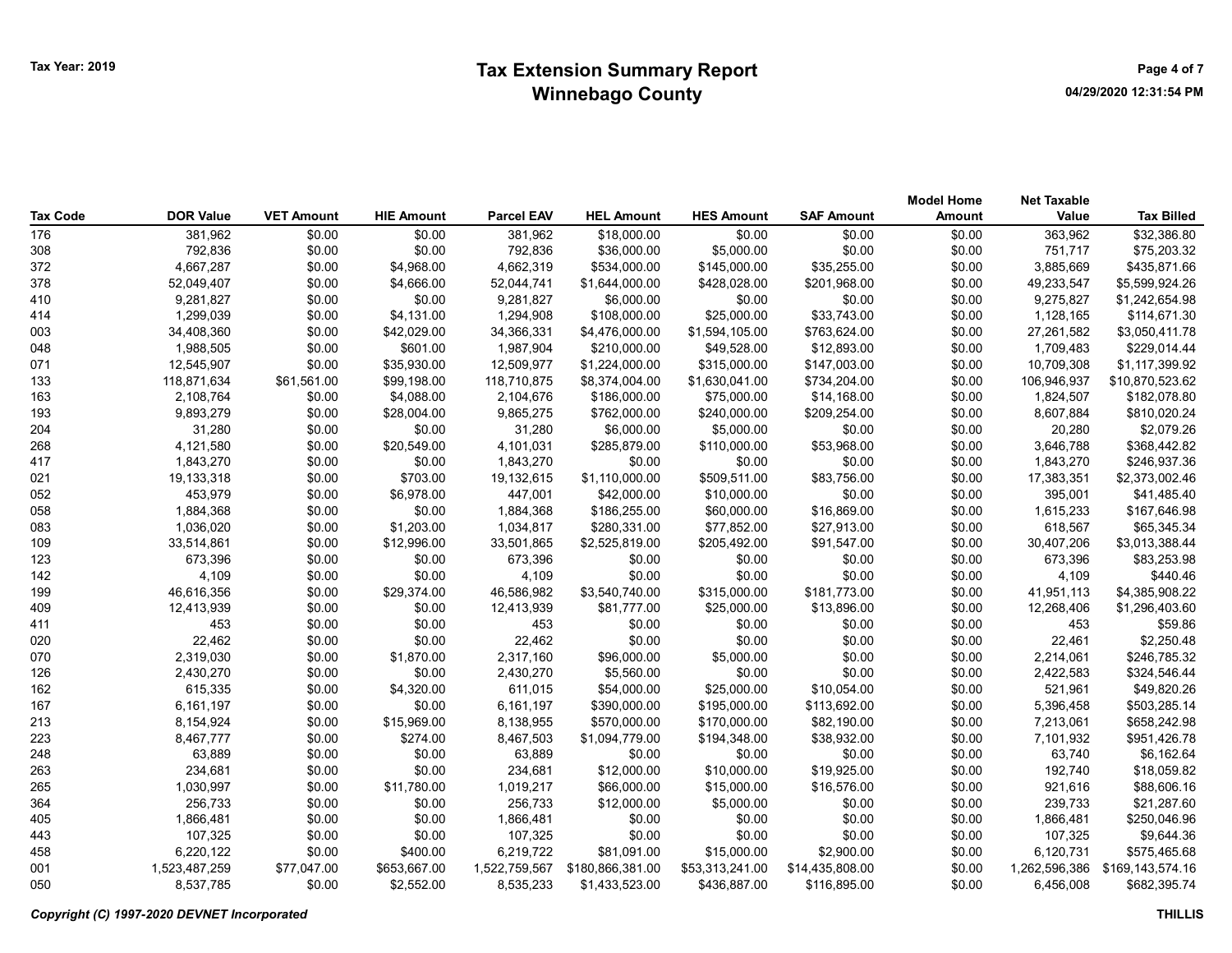# Tax Year: 2019 **Extension Summary Report CONF 2019** Page 4 of 7 Winnebago County

| Tax Code   | <b>DOR Value</b>     | <b>VET Amount</b> | <b>HIE Amount</b>        | <b>Parcel EAV</b>    | <b>HEL Amount</b> | <b>HES Amount</b> | <b>SAF Amount</b> | <b>Model Home</b><br><b>Amount</b> | <b>Net Taxable</b><br>Value | <b>Tax Billed</b>          |
|------------|----------------------|-------------------|--------------------------|----------------------|-------------------|-------------------|-------------------|------------------------------------|-----------------------------|----------------------------|
| 176        | 381,962              | \$0.00            | \$0.00                   | 381,962              | \$18,000.00       | \$0.00            | \$0.00            | \$0.00                             | 363,962                     | \$32,386.80                |
| 308        | 792,836              | \$0.00            | \$0.00                   | 792,836              | \$36,000.00       | \$5,000.00        | \$0.00            | \$0.00                             | 751,717                     | \$75,203.32                |
| 372        | 4,667,287            | \$0.00            | \$4,968.00               | 4,662,319            | \$534,000.00      | \$145,000.00      | \$35,255.00       | \$0.00                             | 3,885,669                   | \$435,871.66               |
| 378        | 52,049,407           | \$0.00            | \$4,666.00               | 52,044,741           | \$1,644,000.00    | \$428,028.00      | \$201,968.00      | \$0.00                             | 49,233,547                  | \$5,599,924.26             |
| 410        | 9,281,827            | \$0.00            | \$0.00                   | 9,281,827            | \$6,000.00        | \$0.00            | \$0.00            | \$0.00                             | 9,275,827                   | \$1,242,654.98             |
| 414        | 1,299,039            | \$0.00            | \$4,131.00               | 1,294,908            | \$108,000.00      | \$25,000.00       | \$33,743.00       | \$0.00                             | 1,128,165                   | \$114,671.30               |
| 003        | 34,408,360           | \$0.00            | \$42,029.00              | 34,366,331           | \$4,476,000.00    | \$1,594,105.00    | \$763,624.00      | \$0.00                             | 27,261,582                  | \$3,050,411.78             |
| 048        | 1,988,505            | \$0.00            | \$601.00                 | 1,987,904            | \$210,000.00      | \$49,528.00       | \$12,893.00       | \$0.00                             | 1,709,483                   | \$229,014.44               |
| 071        | 12,545,907           | \$0.00            | \$35,930.00              | 12,509,977           | \$1,224,000.00    | \$315,000.00      | \$147,003.00      | \$0.00                             | 10,709,308                  | \$1,117,399.92             |
| 133        | 118,871,634          | \$61,561.00       | \$99,198.00              | 118,710,875          | \$8,374,004.00    | \$1,630,041.00    | \$734,204.00      | \$0.00                             | 106,946,937                 | \$10,870,523.62            |
| 163        | 2,108,764            | \$0.00            | \$4,088.00               | 2,104,676            | \$186,000.00      | \$75,000.00       | \$14,168.00       | \$0.00                             | 1,824,507                   | \$182,078.80               |
| 193        | 9,893,279            | \$0.00            | \$28,004.00              | 9,865,275            | \$762,000.00      | \$240,000.00      | \$209,254.00      | \$0.00                             | 8,607,884                   | \$810,020.24               |
| 204        | 31,280               | \$0.00            | \$0.00                   | 31,280               | \$6,000.00        | \$5,000.00        | \$0.00            | \$0.00                             | 20,280                      | \$2,079.26                 |
| 268        | 4,121,580            | \$0.00            | \$20,549.00              | 4,101,031            | \$285,879.00      | \$110,000.00      | \$53,968.00       | \$0.00                             | 3,646,788                   | \$368,442.82               |
| 417        | 1,843,270            | \$0.00            | \$0.00                   | 1,843,270            | \$0.00            | \$0.00            | \$0.00            | \$0.00                             | 1,843,270                   | \$246,937.36               |
| 021        | 19,133,318           | \$0.00            | \$703.00                 | 19,132,615           | \$1,110,000.00    | \$509,511.00      | \$83,756.00       | \$0.00                             | 17,383,351                  | \$2,373,002.46             |
| 052        | 453,979              | \$0.00            | \$6,978.00               | 447,001              | \$42,000.00       | \$10,000.00       | \$0.00            | \$0.00                             | 395,001                     | \$41,485.40                |
| 058        | 1,884,368            | \$0.00            | \$0.00                   | 1,884,368            | \$186,255.00      | \$60,000.00       | \$16,869.00       | \$0.00                             | 1,615,233                   | \$167,646.98               |
| 083        | 1,036,020            | \$0.00            | \$1,203.00               | 1,034,817            | \$280,331.00      | \$77,852.00       | \$27,913.00       | \$0.00                             | 618,567                     | \$65,345.34                |
| 109        | 33,514,861           | \$0.00            | \$12,996.00              | 33,501,865           | \$2,525,819.00    | \$205,492.00      | \$91,547.00       | \$0.00                             | 30,407,206                  | \$3,013,388.44             |
| 123        | 673,396              | \$0.00            | \$0.00                   | 673,396              | \$0.00            | \$0.00            | \$0.00            | \$0.00                             | 673,396                     | \$83,253.98                |
| 142        | 4,109                | \$0.00            | \$0.00                   | 4,109                | \$0.00            | \$0.00            | \$0.00            | \$0.00                             | 4,109                       | \$440.46                   |
| 199        | 46,616,356           | \$0.00            | \$29,374.00              | 46,586,982           | \$3,540,740.00    | \$315,000.00      | \$181,773.00      | \$0.00                             | 41,951,113                  | \$4,385,908.22             |
| 409        | 12,413,939           | \$0.00            | \$0.00                   | 12,413,939           | \$81,777.00       | \$25,000.00       | \$13,896.00       | \$0.00                             | 12,268,406                  | \$1,296,403.60             |
| 411        | 453                  | \$0.00            | \$0.00                   | 453                  | \$0.00            | \$0.00            | \$0.00            | \$0.00                             | 453                         | \$59.86                    |
| 020        | 22,462               | \$0.00            | \$0.00                   | 22,462               | \$0.00            | \$0.00            | \$0.00            | \$0.00                             | 22,461                      | \$2,250.48                 |
| 070        | 2,319,030            | \$0.00            | \$1,870.00               | 2,317,160            | \$96,000.00       | \$5,000.00        | \$0.00            | \$0.00                             | 2,214,061                   | \$246,785.32               |
| 126        | 2,430,270            | \$0.00            | \$0.00                   | 2,430,270            | \$5,560.00        | \$0.00            | \$0.00            | \$0.00                             | 2,422,583                   | \$324,546.44               |
| 162        | 615,335              | \$0.00            | \$4,320.00               | 611,015              | \$54,000.00       | \$25,000.00       | \$10,054.00       | \$0.00                             | 521,961                     | \$49,820.26                |
| 167        | 6,161,197            | \$0.00            | \$0.00                   | 6,161,197            | \$390,000.00      | \$195,000.00      | \$113,692.00      | \$0.00                             | 5,396,458                   | \$503,285.14               |
| 213        | 8,154,924            | \$0.00            | \$15,969.00              | 8,138,955            | \$570,000.00      | \$170,000.00      | \$82,190.00       | \$0.00                             | 7,213,061                   | \$658,242.98               |
| 223        | 8,467,777            | \$0.00            | \$274.00                 | 8,467,503            | \$1,094,779.00    | \$194,348.00      | \$38,932.00       | \$0.00                             | 7,101,932                   | \$951,426.78               |
| 248        | 63,889               | \$0.00            | \$0.00                   | 63,889               | \$0.00            | \$0.00            | \$0.00            | \$0.00                             | 63,740                      | \$6,162.64                 |
| 263        | 234,681              | \$0.00            | \$0.00                   | 234,681              | \$12,000.00       | \$10,000.00       | \$19,925.00       | \$0.00                             | 192,740                     | \$18,059.82                |
| 265        | 1,030,997            | \$0.00            | \$11,780.00              | 1,019,217            | \$66,000.00       | \$15,000.00       | \$16,576.00       | \$0.00                             | 921,616                     | \$88,606.16                |
| 364        | 256,733              | \$0.00            | \$0.00                   | 256,733              | \$12,000.00       | \$5,000.00        | \$0.00            | \$0.00                             | 239,733                     | \$21,287.60                |
| 405        |                      |                   |                          |                      |                   |                   |                   |                                    |                             |                            |
| 443        | 1,866,481<br>107,325 | \$0.00<br>\$0.00  | \$0.00<br>\$0.00         | 1,866,481<br>107,325 | \$0.00<br>\$0.00  | \$0.00<br>\$0.00  | \$0.00<br>\$0.00  | \$0.00<br>\$0.00                   | 1,866,481<br>107,325        | \$250,046.96<br>\$9,644.36 |
|            | 6,220,122            | \$0.00            |                          | 6,219,722            | \$81,091.00       | \$15,000.00       | \$2,900.00        |                                    |                             | \$575,465.68               |
| 458<br>001 | 1,523,487,259        | \$77,047.00       | \$400.00<br>\$653,667.00 | 1,522,759,567        | \$180,866,381.00  | \$53,313,241.00   | \$14,435,808.00   | \$0.00<br>\$0.00                   | 6,120,731<br>1,262,596,386  | \$169,143,574.16           |
| 050        | 8,537,785            | \$0.00            | \$2,552.00               | 8,535,233            | \$1,433,523.00    | \$436,887.00      | \$116,895.00      | \$0.00                             | 6,456,008                   | \$682,395.74               |
|            |                      |                   |                          |                      |                   |                   |                   |                                    |                             |                            |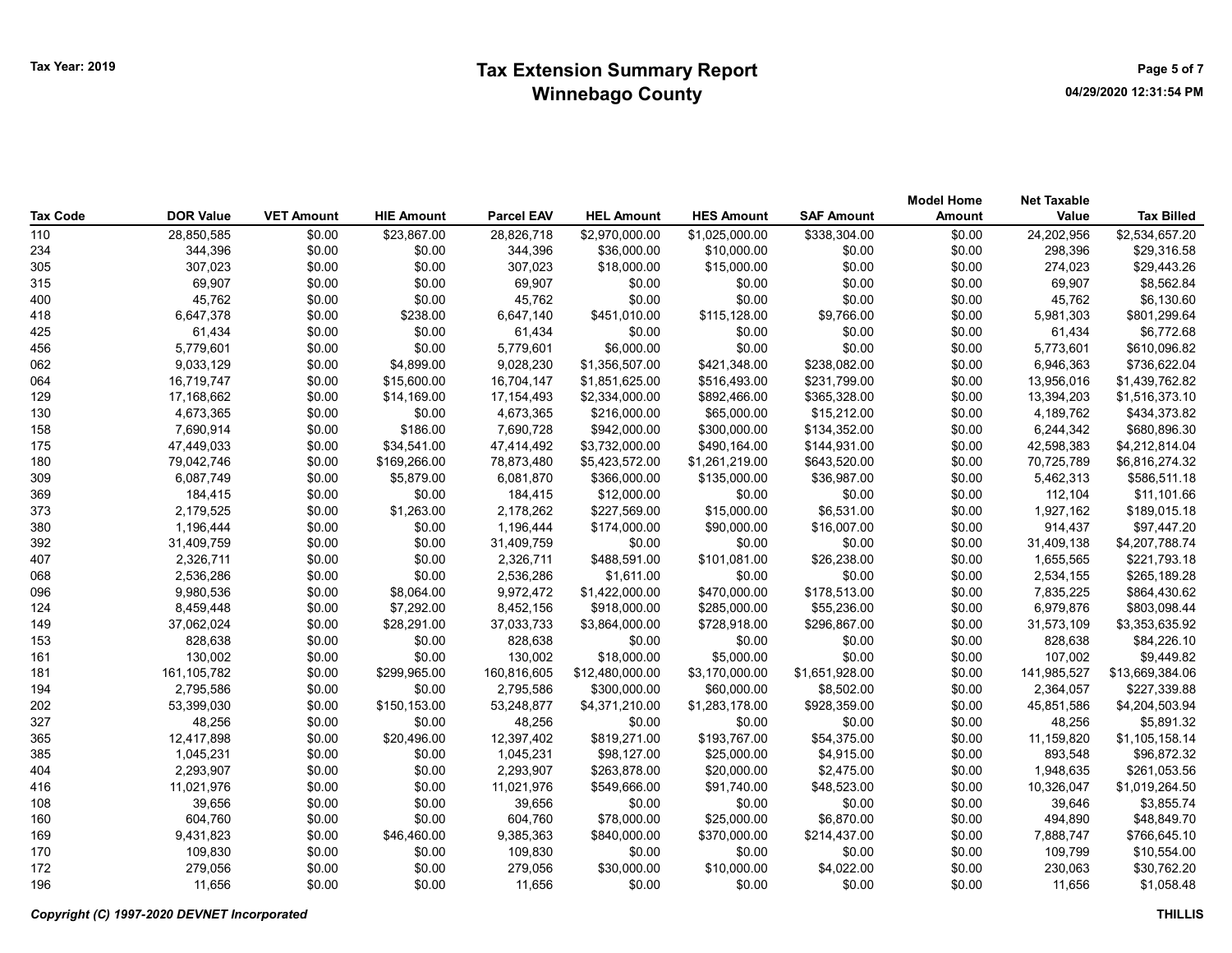# Tax Year: 2019 **Extension Summary Report Case 2018** Page 5 of 7 Winnebago County

| Tax Code | <b>DOR Value</b> | <b>VET Amount</b> | <b>HIE Amount</b> | <b>Parcel EAV</b> | <b>HEL Amount</b> | <b>HES Amount</b> | <b>SAF Amount</b> | <b>Model Home</b><br>Amount | <b>Net Taxable</b><br>Value | <b>Tax Billed</b> |
|----------|------------------|-------------------|-------------------|-------------------|-------------------|-------------------|-------------------|-----------------------------|-----------------------------|-------------------|
| 110      | 28,850,585       | \$0.00            | \$23,867.00       | 28,826,718        | \$2,970,000.00    | \$1,025,000.00    | \$338,304.00      | \$0.00                      | 24,202,956                  | \$2,534,657.20    |
| 234      | 344,396          | \$0.00            | \$0.00            | 344,396           | \$36,000.00       | \$10,000.00       | \$0.00            | \$0.00                      | 298.396                     | \$29,316.58       |
| 305      | 307,023          | \$0.00            | \$0.00            | 307,023           | \$18,000.00       | \$15,000.00       | \$0.00            | \$0.00                      | 274,023                     | \$29,443.26       |
| 315      | 69,907           | \$0.00            | \$0.00            | 69,907            | \$0.00            | \$0.00            | \$0.00            | \$0.00                      | 69,907                      | \$8,562.84        |
| 400      | 45,762           | \$0.00            | \$0.00            | 45,762            | \$0.00            | \$0.00            | \$0.00            | \$0.00                      | 45,762                      | \$6,130.60        |
| 418      | 6,647,378        | \$0.00            | \$238.00          | 6,647,140         | \$451,010.00      | \$115,128.00      | \$9,766.00        | \$0.00                      | 5,981,303                   | \$801,299.64      |
| 425      | 61,434           | \$0.00            | \$0.00            | 61,434            | \$0.00            | \$0.00            | \$0.00            | \$0.00                      | 61,434                      | \$6,772.68        |
| 456      | 5,779,601        | \$0.00            | \$0.00            | 5,779,601         | \$6,000.00        | \$0.00            | \$0.00            | \$0.00                      | 5,773,601                   | \$610,096.82      |
| 062      | 9,033,129        | \$0.00            | \$4,899.00        | 9,028,230         | \$1,356,507.00    | \$421,348.00      | \$238,082.00      | \$0.00                      | 6,946,363                   | \$736,622.04      |
| 064      | 16,719,747       | \$0.00            | \$15,600.00       | 16,704,147        | \$1,851,625.00    | \$516,493.00      | \$231,799.00      | \$0.00                      | 13,956,016                  | \$1,439,762.82    |
| 129      | 17,168,662       | \$0.00            | \$14,169.00       | 17, 154, 493      | \$2,334,000.00    | \$892,466.00      | \$365,328.00      | \$0.00                      | 13,394,203                  | \$1,516,373.10    |
| 130      | 4,673,365        | \$0.00            | \$0.00            | 4,673,365         | \$216,000.00      | \$65,000.00       | \$15,212.00       | \$0.00                      | 4,189,762                   | \$434,373.82      |
| 158      | 7,690,914        | \$0.00            | \$186.00          | 7,690,728         | \$942,000.00      | \$300,000.00      | \$134,352.00      | \$0.00                      | 6,244,342                   | \$680,896.30      |
| 175      | 47,449,033       | \$0.00            | \$34,541.00       | 47,414,492        | \$3,732,000.00    | \$490,164.00      | \$144,931.00      | \$0.00                      | 42,598,383                  | \$4,212,814.04    |
| 180      | 79,042,746       | \$0.00            | \$169,266.00      | 78,873,480        | \$5,423,572.00    | \$1,261,219.00    | \$643,520.00      | \$0.00                      | 70,725,789                  | \$6,816,274.32    |
| 309      | 6,087,749        | \$0.00            | \$5,879.00        | 6,081,870         | \$366,000.00      | \$135,000.00      | \$36,987.00       | \$0.00                      | 5,462,313                   | \$586,511.18      |
| 369      | 184,415          | \$0.00            | \$0.00            | 184,415           | \$12,000.00       | \$0.00            | \$0.00            | \$0.00                      | 112,104                     | \$11,101.66       |
| 373      | 2,179,525        | \$0.00            | \$1,263.00        | 2,178,262         | \$227,569.00      | \$15,000.00       | \$6,531.00        | \$0.00                      | 1,927,162                   | \$189,015.18      |
| 380      | 1,196,444        | \$0.00            | \$0.00            | 1,196,444         | \$174,000.00      | \$90,000.00       | \$16,007.00       | \$0.00                      | 914,437                     | \$97,447.20       |
| 392      | 31,409,759       | \$0.00            | \$0.00            | 31,409,759        | \$0.00            | \$0.00            | \$0.00            | \$0.00                      | 31,409,138                  | \$4,207,788.74    |
| 407      | 2,326,711        | \$0.00            | \$0.00            | 2,326,711         | \$488,591.00      | \$101,081.00      | \$26,238.00       | \$0.00                      | 1,655,565                   | \$221,793.18      |
| 068      | 2,536,286        | \$0.00            | \$0.00            | 2,536,286         | \$1,611.00        | \$0.00            | \$0.00            | \$0.00                      | 2,534,155                   | \$265,189.28      |
| 096      | 9,980,536        | \$0.00            | \$8,064.00        | 9,972,472         | \$1,422,000.00    | \$470,000.00      | \$178,513.00      | \$0.00                      | 7,835,225                   | \$864,430.62      |
| 124      | 8,459,448        | \$0.00            | \$7,292.00        | 8,452,156         | \$918,000.00      | \$285,000.00      | \$55,236.00       | \$0.00                      | 6,979,876                   | \$803,098.44      |
| 149      | 37,062,024       | \$0.00            | \$28,291.00       | 37,033,733        | \$3,864,000.00    | \$728,918.00      | \$296,867.00      | \$0.00                      | 31,573,109                  | \$3,353,635.92    |
| 153      | 828,638          | \$0.00            | \$0.00            | 828,638           | \$0.00            | \$0.00            | \$0.00            | \$0.00                      | 828,638                     | \$84,226.10       |
| 161      | 130,002          | \$0.00            | \$0.00            | 130,002           | \$18,000.00       | \$5,000.00        | \$0.00            | \$0.00                      | 107,002                     | \$9,449.82        |
| 181      | 161,105,782      | \$0.00            | \$299,965.00      | 160,816,605       | \$12,480,000.00   | \$3,170,000.00    | \$1,651,928.00    | \$0.00                      | 141,985,527                 | \$13,669,384.06   |
| 194      | 2,795,586        | \$0.00            | \$0.00            | 2,795,586         | \$300,000.00      | \$60,000.00       | \$8,502.00        | \$0.00                      | 2,364,057                   | \$227,339.88      |
| 202      | 53,399,030       | \$0.00            | \$150,153.00      | 53,248,877        | \$4,371,210.00    | \$1,283,178.00    | \$928,359.00      | \$0.00                      | 45,851,586                  | \$4,204,503.94    |
| 327      | 48,256           | \$0.00            | \$0.00            | 48,256            | \$0.00            | \$0.00            | \$0.00            | \$0.00                      | 48,256                      | \$5,891.32        |
| 365      | 12,417,898       | \$0.00            | \$20,496.00       | 12,397,402        | \$819,271.00      | \$193,767.00      | \$54,375.00       | \$0.00                      | 11,159,820                  | \$1,105,158.14    |
| 385      | 1,045,231        | \$0.00            | \$0.00            | 1,045,231         | \$98,127.00       | \$25,000.00       | \$4,915.00        | \$0.00                      | 893,548                     | \$96,872.32       |
| 404      | 2,293,907        | \$0.00            | \$0.00            | 2,293,907         | \$263,878.00      | \$20,000.00       | \$2,475.00        | \$0.00                      | 1,948,635                   | \$261,053.56      |
| 416      | 11,021,976       | \$0.00            | \$0.00            | 11,021,976        | \$549,666.00      | \$91,740.00       | \$48,523.00       | \$0.00                      | 10,326,047                  | \$1,019,264.50    |
| 108      | 39,656           | \$0.00            | \$0.00            | 39,656            | \$0.00            | \$0.00            | \$0.00            | \$0.00                      | 39,646                      | \$3,855.74        |
| 160      | 604,760          | \$0.00            | \$0.00            | 604,760           | \$78,000.00       | \$25,000.00       | \$6,870.00        | \$0.00                      | 494,890                     | \$48,849.70       |
| 169      | 9,431,823        | \$0.00            | \$46,460.00       | 9,385,363         | \$840,000.00      | \$370,000.00      | \$214,437.00      | \$0.00                      | 7,888,747                   | \$766,645.10      |
| 170      | 109,830          | \$0.00            | \$0.00            | 109,830           | \$0.00            | \$0.00            | \$0.00            | \$0.00                      | 109,799                     | \$10,554.00       |
| 172      | 279,056          | \$0.00            | \$0.00            | 279,056           | \$30,000.00       | \$10,000.00       | \$4,022.00        | \$0.00                      | 230,063                     | \$30,762.20       |
| 196      | 11,656           | \$0.00            | \$0.00            | 11.656            | \$0.00            | \$0.00            | \$0.00            | \$0.00                      | 11.656                      | \$1,058.48        |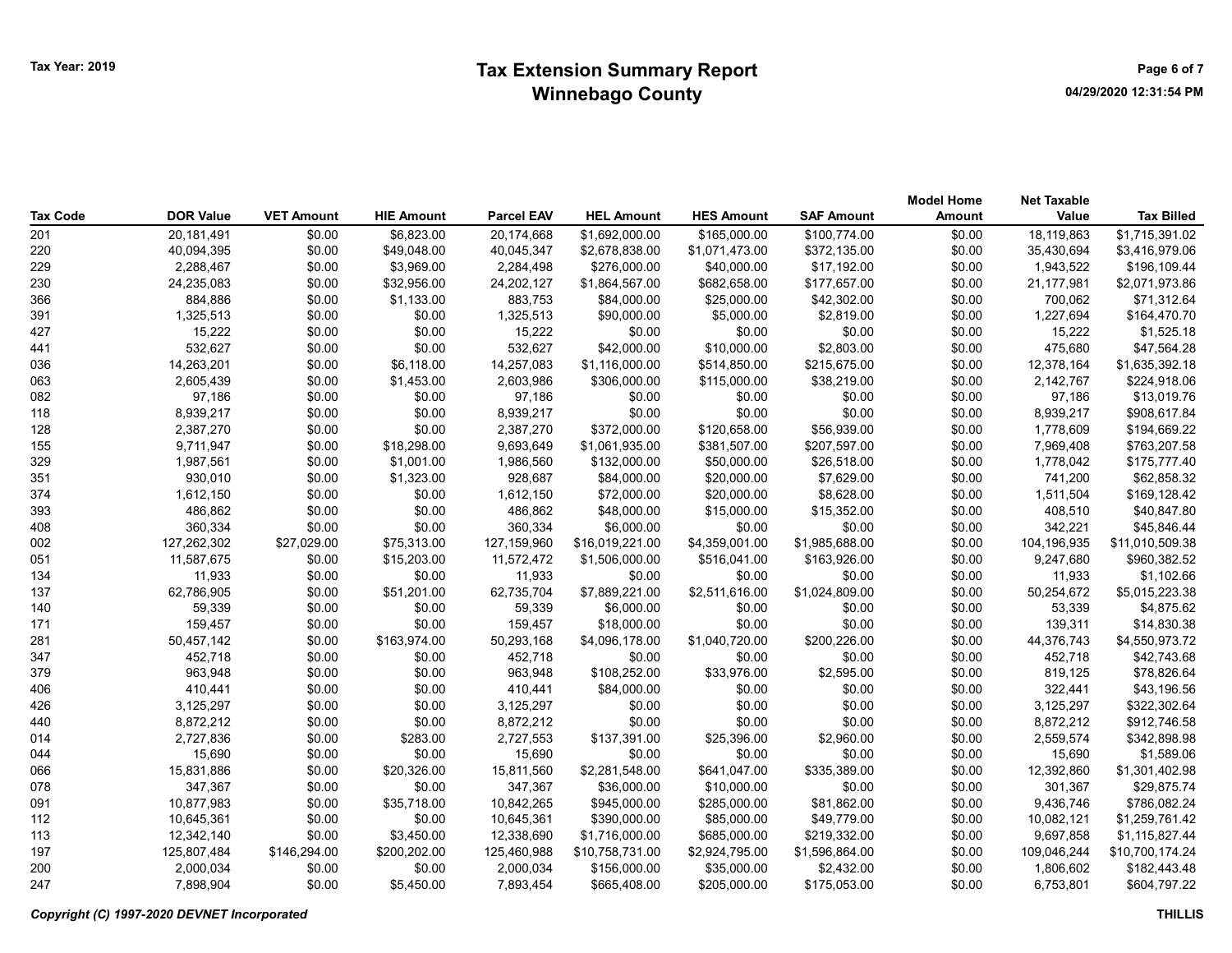# Tax Year: 2019 **Extension Summary Report Case 2018** Page 6 of 7 Winnebago County

|                 |                  |                   |                   |                   |                   |                   |                   | <b>Model Home</b> | <b>Net Taxable</b> |                   |
|-----------------|------------------|-------------------|-------------------|-------------------|-------------------|-------------------|-------------------|-------------------|--------------------|-------------------|
| <b>Tax Code</b> | <b>DOR Value</b> | <b>VET Amount</b> | <b>HIE Amount</b> | <b>Parcel EAV</b> | <b>HEL Amount</b> | <b>HES Amount</b> | <b>SAF Amount</b> | <b>Amount</b>     | Value              | <b>Tax Billed</b> |
| 201             | 20,181,491       | \$0.00            | \$6,823.00        | 20,174,668        | \$1,692,000.00    | \$165,000.00      | \$100,774.00      | \$0.00            | 18,119,863         | \$1,715,391.02    |
| 220             | 40,094,395       | \$0.00            | \$49,048.00       | 40,045,347        | \$2,678,838.00    | \$1,071,473.00    | \$372,135.00      | \$0.00            | 35,430,694         | \$3,416,979.06    |
| 229             | 2,288,467        | \$0.00            | \$3,969.00        | 2,284,498         | \$276,000.00      | \$40,000.00       | \$17,192.00       | \$0.00            | 1,943,522          | \$196,109.44      |
| 230             | 24,235,083       | \$0.00            | \$32,956.00       | 24,202,127        | \$1,864,567.00    | \$682,658.00      | \$177,657.00      | \$0.00            | 21,177,981         | \$2,071,973.86    |
| 366             | 884,886          | \$0.00            | \$1,133.00        | 883,753           | \$84,000.00       | \$25,000.00       | \$42,302.00       | \$0.00            | 700,062            | \$71,312.64       |
| 391             | 1,325,513        | \$0.00            | \$0.00            | 1,325,513         | \$90,000.00       | \$5,000.00        | \$2,819.00        | \$0.00            | 1,227,694          | \$164,470.70      |
| 427             | 15,222           | \$0.00            | \$0.00            | 15,222            | \$0.00            | \$0.00            | \$0.00            | \$0.00            | 15,222             | \$1,525.18        |
| 441             | 532,627          | \$0.00            | \$0.00            | 532,627           | \$42,000.00       | \$10,000.00       | \$2,803.00        | \$0.00            | 475,680            | \$47,564.28       |
| 036             | 14,263,201       | \$0.00            | \$6,118.00        | 14,257,083        | \$1,116,000.00    | \$514,850.00      | \$215,675.00      | \$0.00            | 12,378,164         | \$1,635,392.18    |
| 063             | 2,605,439        | \$0.00            | \$1,453.00        | 2,603,986         | \$306,000.00      | \$115,000.00      | \$38,219.00       | \$0.00            | 2,142,767          | \$224,918.06      |
| 082             | 97,186           | \$0.00            | \$0.00            | 97,186            | \$0.00            | \$0.00            | \$0.00            | \$0.00            | 97,186             | \$13,019.76       |
| 118             | 8,939,217        | \$0.00            | \$0.00            | 8,939,217         | \$0.00            | \$0.00            | \$0.00            | \$0.00            | 8,939,217          | \$908,617.84      |
| 128             | 2,387,270        | \$0.00            | \$0.00            | 2,387,270         | \$372,000.00      | \$120,658.00      | \$56,939.00       | \$0.00            | 1,778,609          | \$194,669.22      |
| 155             | 9,711,947        | \$0.00            | \$18,298.00       | 9,693,649         | \$1,061,935.00    | \$381,507.00      | \$207,597.00      | \$0.00            | 7,969,408          | \$763,207.58      |
| 329             | 1,987,561        | \$0.00            | \$1,001.00        | 1,986,560         | \$132,000.00      | \$50,000.00       | \$26,518.00       | \$0.00            | 1,778,042          | \$175,777.40      |
| 351             | 930,010          | \$0.00            | \$1,323.00        | 928,687           | \$84,000.00       | \$20,000.00       | \$7,629.00        | \$0.00            | 741,200            | \$62,858.32       |
| 374             | 1,612,150        | \$0.00            | \$0.00            | 1,612,150         | \$72,000.00       | \$20,000.00       | \$8,628.00        | \$0.00            | 1,511,504          | \$169,128.42      |
| 393             | 486,862          | \$0.00            | \$0.00            | 486,862           | \$48,000.00       | \$15,000.00       | \$15,352.00       | \$0.00            | 408,510            | \$40,847.80       |
| 408             | 360,334          | \$0.00            | \$0.00            | 360,334           | \$6,000.00        | \$0.00            | \$0.00            | \$0.00            | 342,221            | \$45,846.44       |
| 002             | 127,262,302      | \$27,029.00       | \$75,313.00       | 127,159,960       | \$16,019,221.00   | \$4,359,001.00    | \$1,985,688.00    | \$0.00            | 104,196,935        | \$11,010,509.38   |
| 051             | 11,587,675       | \$0.00            | \$15,203.00       | 11,572,472        | \$1,506,000.00    | \$516,041.00      | \$163,926.00      | \$0.00            | 9,247,680          | \$960,382.52      |
| 134             | 11,933           | \$0.00            | \$0.00            | 11,933            | \$0.00            | \$0.00            | \$0.00            | \$0.00            | 11,933             | \$1,102.66        |
| 137             | 62,786,905       | \$0.00            | \$51,201.00       | 62,735,704        | \$7,889,221.00    | \$2,511,616.00    | \$1,024,809.00    | \$0.00            | 50,254,672         | \$5,015,223.38    |
| 140             | 59,339           | \$0.00            | \$0.00            | 59,339            | \$6,000.00        | \$0.00            | \$0.00            | \$0.00            | 53,339             | \$4,875.62        |
| 171             | 159,457          | \$0.00            | \$0.00            | 159,457           | \$18,000.00       | \$0.00            | \$0.00            | \$0.00            | 139,311            | \$14,830.38       |
| 281             | 50,457,142       | \$0.00            | \$163,974.00      | 50,293,168        | \$4,096,178.00    | \$1,040,720.00    | \$200,226.00      | \$0.00            | 44,376,743         | \$4,550,973.72    |
| 347             | 452,718          | \$0.00            | \$0.00            | 452,718           | \$0.00            | \$0.00            | \$0.00            | \$0.00            | 452,718            | \$42,743.68       |
| 379             | 963,948          | \$0.00            | \$0.00            | 963,948           | \$108,252.00      | \$33,976.00       | \$2,595.00        | \$0.00            | 819,125            | \$78,826.64       |
| 406             | 410,441          | \$0.00            | \$0.00            | 410,441           | \$84,000.00       | \$0.00            | \$0.00            | \$0.00            | 322,441            | \$43,196.56       |
| 426             | 3,125,297        | \$0.00            | \$0.00            | 3,125,297         | \$0.00            | \$0.00            | \$0.00            | \$0.00            | 3,125,297          | \$322,302.64      |
| 440             | 8,872,212        | \$0.00            | \$0.00            | 8,872,212         | \$0.00            | \$0.00            | \$0.00            | \$0.00            | 8,872,212          | \$912,746.58      |
| 014             | 2,727,836        | \$0.00            | \$283.00          | 2,727,553         | \$137,391.00      | \$25,396.00       | \$2,960.00        | \$0.00            | 2,559,574          | \$342,898.98      |
| 044             | 15,690           | \$0.00            | \$0.00            | 15,690            | \$0.00            | \$0.00            | \$0.00            | \$0.00            | 15,690             | \$1,589.06        |
| 066             | 15,831,886       | \$0.00            | \$20,326.00       | 15,811,560        | \$2,281,548.00    | \$641,047.00      | \$335,389.00      | \$0.00            | 12,392,860         | \$1,301,402.98    |
| 078             | 347,367          | \$0.00            | \$0.00            | 347,367           | \$36,000.00       | \$10,000.00       | \$0.00            | \$0.00            | 301,367            | \$29,875.74       |
| 091             | 10,877,983       | \$0.00            | \$35,718.00       | 10,842,265        | \$945,000.00      | \$285,000.00      | \$81,862.00       | \$0.00            | 9,436,746          | \$786,082.24      |
| 112             | 10,645,361       | \$0.00            | \$0.00            | 10,645,361        | \$390,000.00      | \$85,000.00       | \$49,779.00       | \$0.00            | 10,082,121         | \$1,259,761.42    |
| 113             | 12,342,140       | \$0.00            | \$3,450.00        | 12,338,690        | \$1,716,000.00    | \$685,000.00      | \$219,332.00      | \$0.00            | 9,697,858          | \$1,115,827.44    |
| 197             | 125,807,484      | \$146,294.00      | \$200,202.00      | 125,460,988       | \$10,758,731.00   | \$2,924,795.00    | \$1,596,864.00    | \$0.00            | 109,046,244        | \$10,700,174.24   |
| 200             | 2,000,034        | \$0.00            | \$0.00            | 2,000,034         | \$156,000.00      | \$35,000.00       | \$2,432.00        | \$0.00            | 1,806,602          | \$182,443.48      |
| 247             | 7,898,904        | \$0.00            | \$5,450.00        | 7,893,454         | \$665,408.00      | \$205,000.00      | \$175,053.00      | \$0.00            | 6,753,801          | \$604,797.22      |